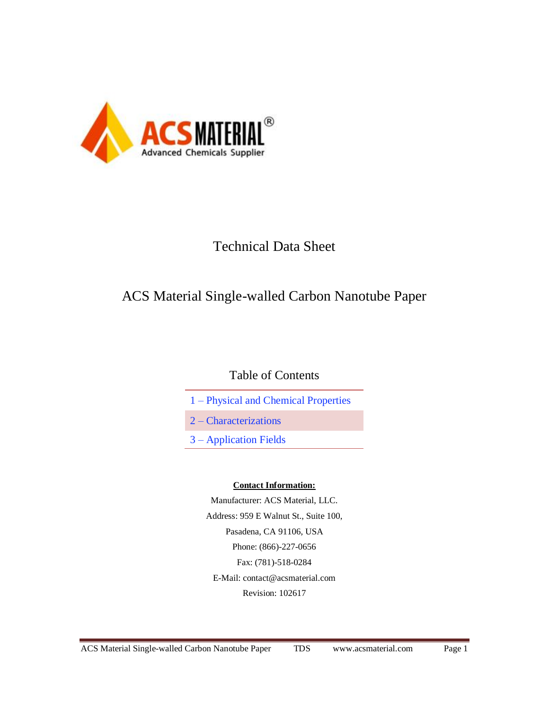

# Technical Data Sheet

# ACS Material Single-walled Carbon Nanotube Paper

## Table of Contents

- 1 Physical and Chemical Properties
- 2 Characterizations
- 3 Application Fields

#### **Contact Information:**

Manufacturer: ACS Material, LLC. Address: 959 E Walnut St., Suite 100, Pasadena, CA 91106, USA Phone: (866)-227-0656 Fax: (781)-518-0284 E-Mail: [contact@acsmaterial.com](mailto:contact@acsmaterial.com) Revision: 102617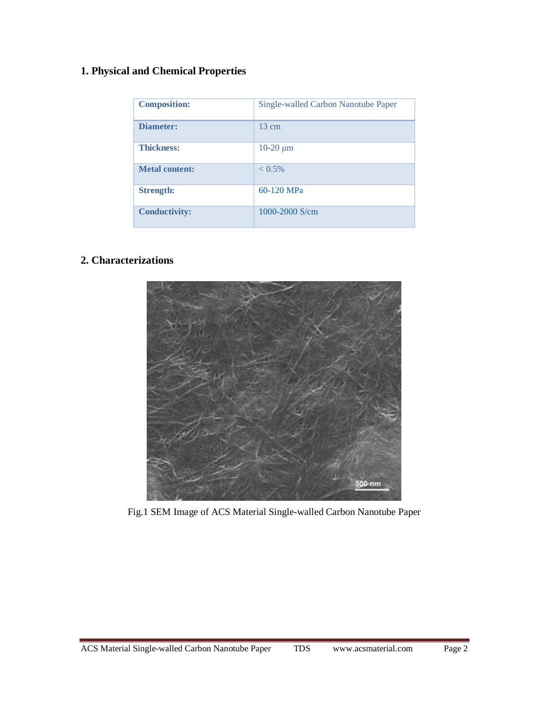### **1. Physical and Chemical Properties**

| <b>Composition:</b>   | Single-walled Carbon Nanotube Paper |
|-----------------------|-------------------------------------|
| <b>Diameter:</b>      | $13 \text{ cm}$                     |
| <b>Thickness:</b>     | $10-20 \mu m$                       |
| <b>Metal content:</b> | $< 0.5\%$                           |
| <b>Strength:</b>      | $60-120$ MPa                        |
| <b>Conductivity:</b>  | 1000-2000 S/cm                      |

### **2. Characterizations**



Fig.1 SEM Image of ACS Material Single-walled Carbon Nanotube Paper